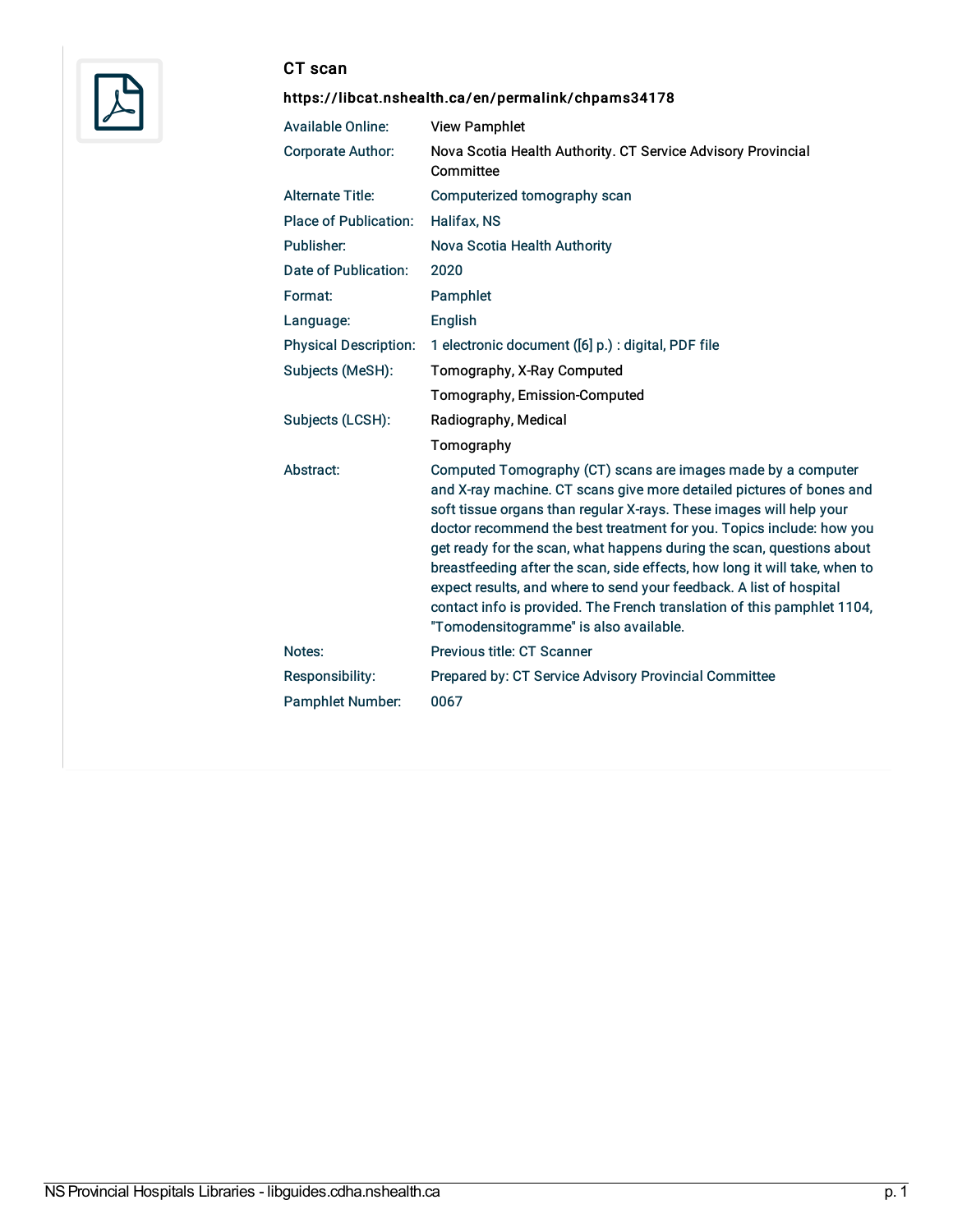

## CT scan

## <https://libcat.nshealth.ca/en/permalink/chpams34178>

| <b>Available Online:</b>     | <b>View Pamphlet</b>                                                                                                                                                                                                                                                                                                                                                                                                                                                                                                                                                                                                                   |
|------------------------------|----------------------------------------------------------------------------------------------------------------------------------------------------------------------------------------------------------------------------------------------------------------------------------------------------------------------------------------------------------------------------------------------------------------------------------------------------------------------------------------------------------------------------------------------------------------------------------------------------------------------------------------|
| <b>Corporate Author:</b>     | Nova Scotia Health Authority. CT Service Advisory Provincial<br>Committee                                                                                                                                                                                                                                                                                                                                                                                                                                                                                                                                                              |
| <b>Alternate Title:</b>      | Computerized tomography scan                                                                                                                                                                                                                                                                                                                                                                                                                                                                                                                                                                                                           |
| <b>Place of Publication:</b> | <b>Halifax, NS</b>                                                                                                                                                                                                                                                                                                                                                                                                                                                                                                                                                                                                                     |
| Publisher:                   | Nova Scotia Health Authority                                                                                                                                                                                                                                                                                                                                                                                                                                                                                                                                                                                                           |
| Date of Publication:         | 2020                                                                                                                                                                                                                                                                                                                                                                                                                                                                                                                                                                                                                                   |
| Format:                      | Pamphlet                                                                                                                                                                                                                                                                                                                                                                                                                                                                                                                                                                                                                               |
| Language:                    | <b>English</b>                                                                                                                                                                                                                                                                                                                                                                                                                                                                                                                                                                                                                         |
| <b>Physical Description:</b> | 1 electronic document ([6] p.) : digital, PDF file                                                                                                                                                                                                                                                                                                                                                                                                                                                                                                                                                                                     |
| Subjects (MeSH):             | Tomography, X-Ray Computed                                                                                                                                                                                                                                                                                                                                                                                                                                                                                                                                                                                                             |
|                              | Tomography, Emission-Computed                                                                                                                                                                                                                                                                                                                                                                                                                                                                                                                                                                                                          |
| Subjects (LCSH):             | Radiography, Medical                                                                                                                                                                                                                                                                                                                                                                                                                                                                                                                                                                                                                   |
|                              | Tomography                                                                                                                                                                                                                                                                                                                                                                                                                                                                                                                                                                                                                             |
| Abstract:                    | Computed Tomography (CT) scans are images made by a computer<br>and X-ray machine. CT scans give more detailed pictures of bones and<br>soft tissue organs than regular X-rays. These images will help your<br>doctor recommend the best treatment for you. Topics include: how you<br>get ready for the scan, what happens during the scan, questions about<br>breastfeeding after the scan, side effects, how long it will take, when to<br>expect results, and where to send your feedback. A list of hospital<br>contact info is provided. The French translation of this pamphlet 1104,<br>"Tomodensitogramme" is also available. |
| Notes:                       | Previous title: CT Scanner                                                                                                                                                                                                                                                                                                                                                                                                                                                                                                                                                                                                             |
| Responsibility:              | Prepared by: CT Service Advisory Provincial Committee                                                                                                                                                                                                                                                                                                                                                                                                                                                                                                                                                                                  |
| <b>Pamphlet Number:</b>      | 0067                                                                                                                                                                                                                                                                                                                                                                                                                                                                                                                                                                                                                                   |